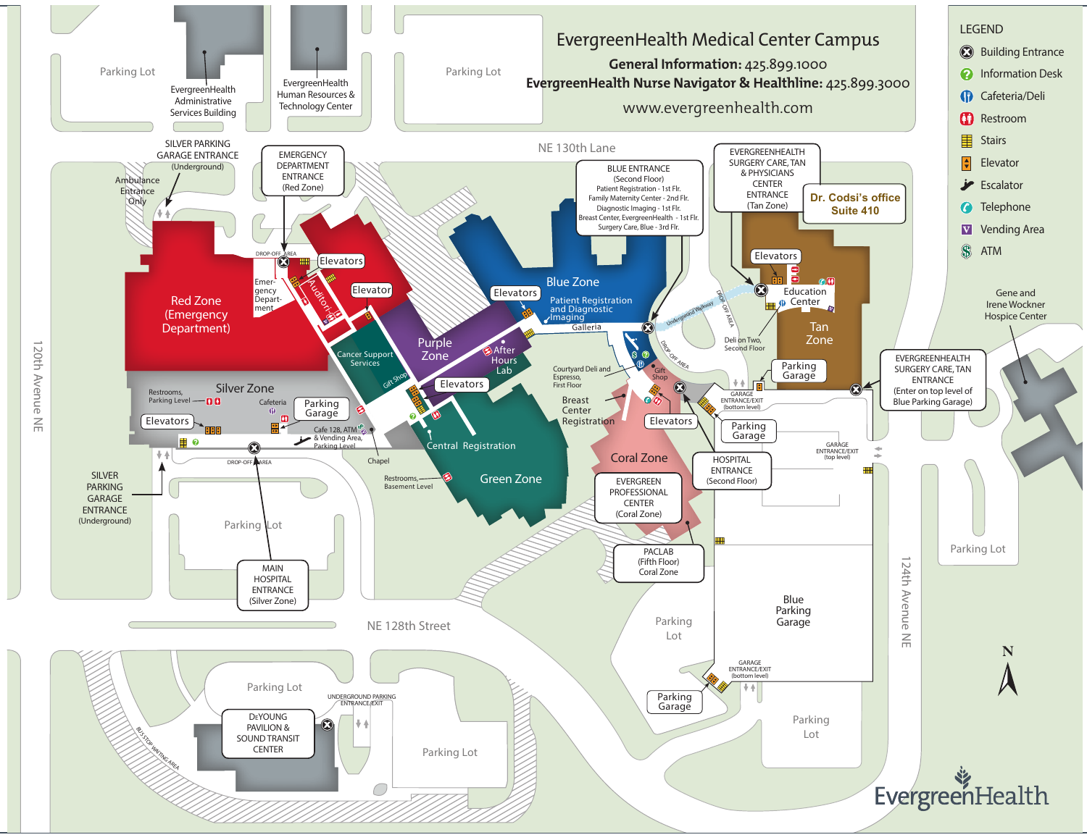